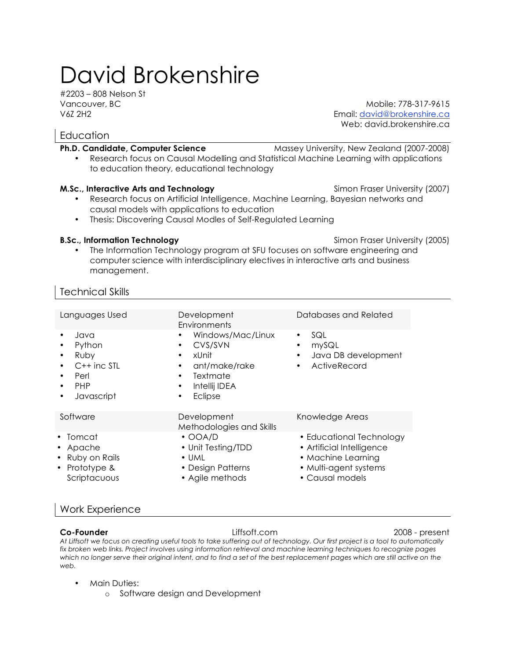# David Brokenshire

#2203 – 808 Nelson St

Vancouver, BC Mobile: 778-317-9615 V6Z 2H2 Email: david@brokenshire.ca Web: david.brokenshire.ca

# **Education**

**Ph.D. Candidate, Computer Science** Massey University, New Zealand (2007-2008) • Research focus on Causal Modelling and Statistical Machine Learning with applications to education theory, educational technology

### **M.Sc., Interactive Arts and Technology Simon Fraser University (2007) M.Sc.**, Interactive Arts and Technology

- Research focus on Artificial Intelligence, Machine Learning, Bayesian networks and causal models with applications to education
- Thesis: Discovering Causal Modles of Self-Regulated Learning

### **B.Sc., Information Technology Simon Fraser University (2005) B.Sc., Information Technology Simon Fraser University (2005)**

• The Information Technology program at SFU focuses on software engineering and computer science with interdisciplinary electives in interactive arts and business management.

# Technical Skills

Languages Used Development **Environments** Databases and Related • Java • Python • Ruby C++ inc STL • Perl • PHP • Javascript • Windows/Mac/Linux • CVS/SVN • xUnit • ant/make/rake **Textmate** • Intellij IDEA • Eclipse • SQL • mySQL • Java DB development **ActiveRecord** Software Development Methodologies and Skills Knowledge Areas • Tomcat • Apache • Ruby on Rails • Prototype & Scriptacuous • OOA/D • Unit Testing/TDD • UML • Design Patterns • Agile methods • Educational Technology • Artificial Intelligence • Machine Learning • Multi-agent systems • Causal models

# Work Experience

### **Co-Founder** Liffsoft.com 2008 - present

*At Liffsoft we focus on creating useful tools to take suffering out of technology. Our first project is a tool to automatically fix broken web links. Project involves using information retrieval and machine learning techniques to recognize pages*  which no longer serve their original intent, and to find a set of the best replacement pages which are still active on the *web.*

### • Main Duties:

o Software design and Development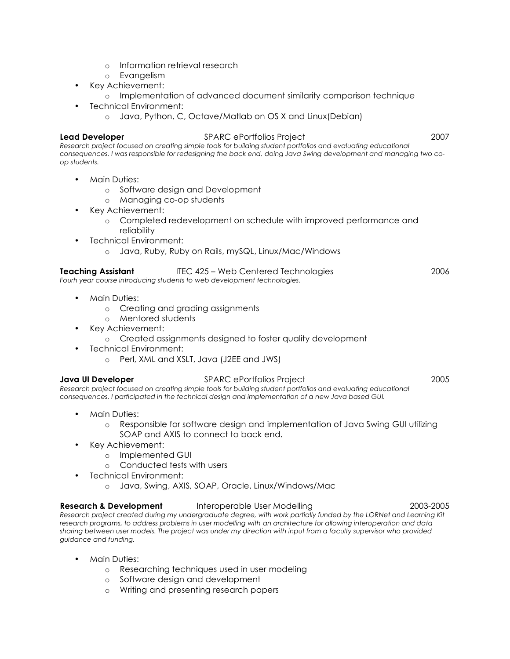- o Information retrieval research
- o Evangelism
- Key Achievement:
	- o Implementation of advanced document similarity comparison technique
	- Technical Environment:
		- o Java, Python, C, Octave/Matlab on OS X and Linux(Debian)

#### **Lead Developer** SPARC ePortfolios Project 2007

*Research project focused on creating simple tools for building student portfolios and evaluating educational consequences. I was responsible for redesigning the back end, doing Java Swing development and managing two coop students.*

- Main Duties:
	- o Software design and Development
	- o Managing co-op students
- Key Achievement:
	- o Completed redevelopment on schedule with improved performance and reliability
	- Technical Environment:
		- o Java, Ruby, Ruby on Rails, mySQL, Linux/Mac/Windows

### **Teaching Assistant** ITEC 425 – Web Centered Technologies 2006

*Fourh year course introducing students to web development technologies.* 

- Main Duties:
	- o Creating and grading assignments
	- o Mentored students
- Key Achievement:
	- o Created assignments designed to foster quality development
- Technical Environment:
	- o Perl, XML and XSLT, Java (J2EE and JWS)

#### **Java UI Developer** SPARC ePortfolios Project 2005

*Research project focused on creating simple tools for building student portfolios and evaluating educational consequences. I participated in the technical design and implementation of a new Java based GUI.*

- Main Duties:
	- o Responsible for software design and implementation of Java Swing GUI utilizing SOAP and AXIS to connect to back end.
- Key Achievement:
	- o Implemented GUI
	- o Conducted tests with users
- Technical Environment:
	- o Java, Swing, AXIS, SOAP, Oracle, Linux/Windows/Mac

#### **Research & Development** Interoperable User Modelling 2003-2005 2003-2005

*Research project created during my undergraduate degree, with work partially funded by the LORNet and Learning Kit research programs, to address problems in user modelling with an architecture for allowing interoperation and data sharing between user models. The project was under my direction with input from a faculty supervisor who provided guidance and funding.*

- Main Duties:
	- o Researching techniques used in user modeling
	- o Software design and development
	- o Writing and presenting research papers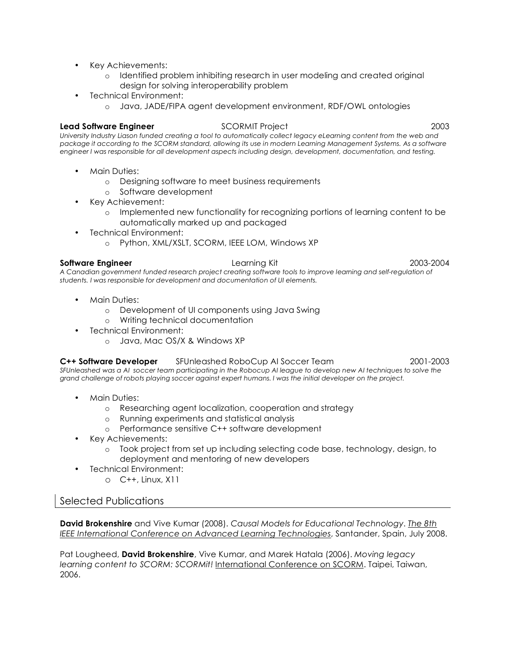- Key Achievements:
	- o Identified problem inhibiting research in user modeling and created original design for solving interoperability problem
- Technical Environment:
	- o Java, JADE/FIPA agent development environment, RDF/OWL ontologies

#### **Lead Software Engineer** SCORMIT Project 2003

*University Industry Liason funded creating a tool to automatically collect legacy eLearning content from the web and package it according to the SCORM standard, allowing its use in modern Learning Management Systems. As a software engineer I was responsible for all development aspects including design, development, documentation, and testing.*

- Main Duties:
	- o Designing software to meet business requirements
	- o Software development
- Key Achievement:
	- o Implemented new functionality for recognizing portions of learning content to be automatically marked up and packaged
- Technical Environment:
	- o Python, XML/XSLT, SCORM, IEEE LOM, Windows XP

#### **Software Engineer** Learning Kit 2003-2004

A Canadian government funded research project creating software tools to improve learning and self-regulation of *students. I was responsible for development and documentation of UI elements.*

- Main Duties:
	- o Development of UI components using Java Swing
	- o Writing technical documentation
- Technical Environment:
	- o Java, Mac OS/X & Windows XP

### **C++ Software Developer** SFUnleashed RoboCup AI Soccer Team 2001-2003

*SFUnleashed was a AI soccer team participating in the Robocup AI league to develop new AI techniques to solve the grand challenge of robots playing soccer against expert humans. I was the initial developer on the project.*

- Main Duties:
	- o Researching agent localization, cooperation and strategy
	- o Running experiments and statistical analysis
	- o Performance sensitive C++ software development
- Key Achievements:
	- o Took project from set up including selecting code base, technology, design, to deployment and mentoring of new developers
- Technical Environment:
	- o C++, Linux, X11

## Selected Publications

**David Brokenshire** and Vive Kumar (2008). *Causal Models for Educational Technology*. *The 8th IEEE International Conference on Advanced Learning Technologies*, Santander, Spain, July 2008.

Pat Lougheed, **David Brokenshire**, Vive Kumar, and Marek Hatala (2006). *Moving legacy learning content to SCORM: SCORMit!* International Conference on SCORM. Taipei, Taiwan, 2006.